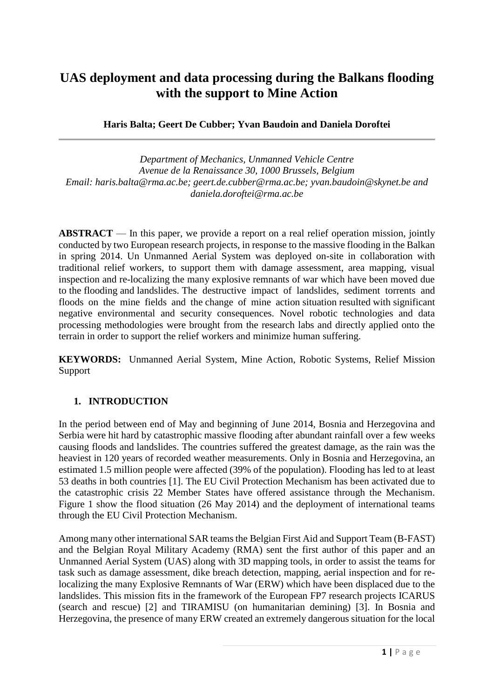# **UAS deployment and data processing during the Balkans flooding with the support to Mine Action**

**Haris Balta; Geert De Cubber; Yvan Baudoin and Daniela Doroftei**

*Department of Mechanics, Unmanned Vehicle Centre Avenue de la Renaissance 30, 1000 Brussels, Belgium Email: haris.balta@rma.ac.be; geert.de.cubber@rma.ac.be; [yvan.baudoin@skynet.be](mailto:yvan.baudoin@skynet.be) and daniela.doroftei@rma.ac.be*

**ABSTRACT** — In this paper, we provide a report on a real relief operation mission, jointly conducted by two European research projects, in response to the massive flooding in the Balkan in spring 2014. Un Unmanned Aerial System was deployed on-site in collaboration with traditional relief workers, to support them with damage assessment, area mapping, visual inspection and re-localizing the many explosive remnants of war which have been moved due to the flooding and landslides. The destructive impact of landslides, sediment torrents and floods on the mine fields and the change of mine action situation resulted with significant negative environmental and security consequences. Novel robotic technologies and data processing methodologies were brought from the research labs and directly applied onto the terrain in order to support the relief workers and minimize human suffering.

**KEYWORDS:** Unmanned Aerial System, Mine Action, Robotic Systems, Relief Mission Support

## **1. INTRODUCTION**

In the period between end of May and beginning of June 2014, Bosnia and Herzegovina and Serbia were hit hard by catastrophic massive flooding after abundant rainfall over a few weeks causing floods and landslides. The countries suffered the greatest damage, as the rain was the heaviest in 120 years of recorded weather measurements. Only in Bosnia and Herzegovina, an estimated 1.5 million people were affected (39% of the population). Flooding has led to at least 53 deaths in both countries [1]. The EU Civil Protection Mechanism has been activated due to the catastrophic crisis 22 Member States have offered assistance through the Mechanism. Figure 1 show the flood situation (26 May 2014) and the deployment of international teams through the EU Civil Protection Mechanism.

Among many other international SAR teams the Belgian First Aid and Support Team (B-FAST) and the Belgian Royal Military Academy (RMA) sent the first author of this paper and an Unmanned Aerial System (UAS) along with 3D mapping tools, in order to assist the teams for task such as damage assessment, dike breach detection, mapping, aerial inspection and for relocalizing the many Explosive Remnants of War (ERW) which have been displaced due to the landslides. This mission fits in the framework of the European FP7 research projects ICARUS (search and rescue) [2] and TIRAMISU (on humanitarian demining) [3]. In Bosnia and Herzegovina, the presence of many ERW created an extremely dangerous situation for the local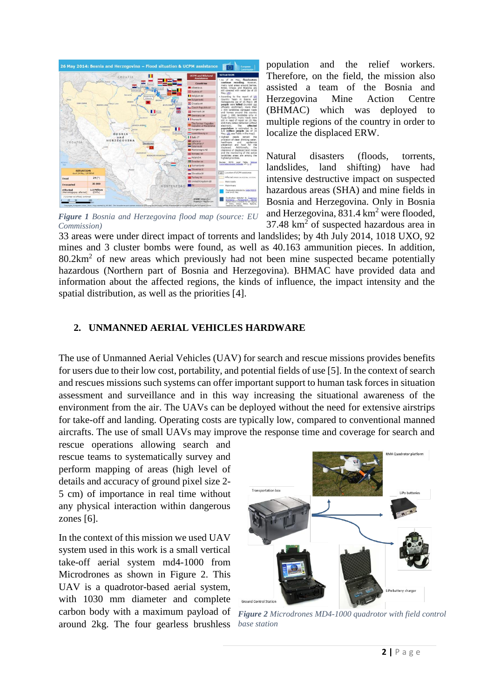

*Figure 1 Bosnia and Herzegovina flood map (source: EU Commission)*

population and the relief workers. Therefore, on the field, the mission also assisted a team of the Bosnia and Herzegovina Mine Action Centre (BHMAC) which was deployed to multiple regions of the country in order to localize the displaced ERW.

Natural disasters (floods, torrents, landslides, land shifting) have had intensive destructive impact on suspected hazardous areas (SHA) and mine fields in Bosnia and Herzegovina. Only in Bosnia and Herzegovina,  $831.4 \text{ km}^2$  were flooded, 37.48 km<sup>2</sup> of suspected hazardous area in

33 areas were under direct impact of torrents and landslides; by 4th July 2014, 1018 UXO, 92 mines and 3 cluster bombs were found, as well as 40.163 ammunition pieces. In addition,  $80.2 \text{km}^2$  of new areas which previously had not been mine suspected became potentially hazardous (Northern part of Bosnia and Herzegovina). BHMAC have provided data and information about the affected regions, the kinds of influence, the impact intensity and the spatial distribution, as well as the priorities [4].

#### **2. UNMANNED AERIAL VEHICLES HARDWARE**

The use of Unmanned Aerial Vehicles (UAV) for search and rescue missions provides benefits for users due to their low cost, portability, and potential fields of use [5]. In the context of search and rescues missions such systems can offer important support to human task forces in situation assessment and surveillance and in this way increasing the situational awareness of the environment from the air. The UAVs can be deployed without the need for extensive airstrips for take-off and landing. Operating costs are typically low, compared to conventional manned aircrafts. The use of small UAVs may improve the response time and coverage for search and

rescue operations allowing search and rescue teams to systematically survey and perform mapping of areas (high level of details and accuracy of ground pixel size 2- 5 cm) of importance in real time without any physical interaction within dangerous zones [6].

In the context of this mission we used UAV system used in this work is a small vertical take-off aerial system md4-1000 from Microdrones as shown in Figure 2. This UAV is a quadrotor-based aerial system, with 1030 mm diameter and complete carbon body with a maximum payload of around 2kg. The four gearless brushless



*Figure 2 Microdrones MD4-1000 quadrotor with field control base station*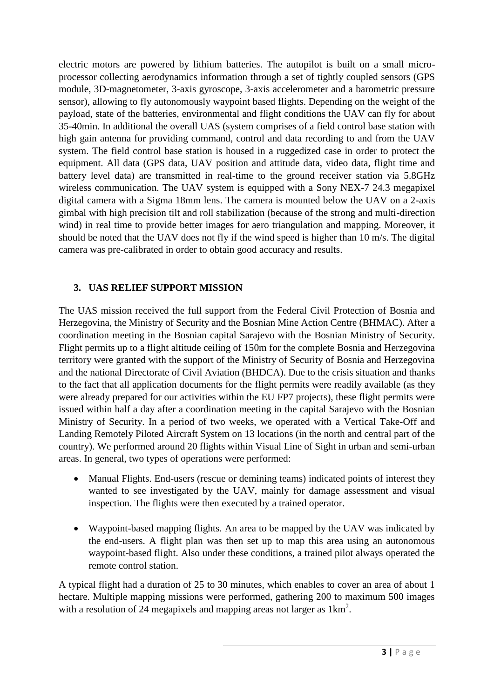electric motors are powered by lithium batteries. The autopilot is built on a small microprocessor collecting aerodynamics information through a set of tightly coupled sensors (GPS module, 3D-magnetometer, 3-axis gyroscope, 3-axis accelerometer and a barometric pressure sensor), allowing to fly autonomously waypoint based flights. Depending on the weight of the payload, state of the batteries, environmental and flight conditions the UAV can fly for about 35-40min. In additional the overall UAS (system comprises of a field control base station with high gain antenna for providing command, control and data recording to and from the UAV system. The field control base station is housed in a ruggedized case in order to protect the equipment. All data (GPS data, UAV position and attitude data, video data, flight time and battery level data) are transmitted in real-time to the ground receiver station via 5.8GHz wireless communication. The UAV system is equipped with a Sony NEX-7 24.3 megapixel digital camera with a Sigma 18mm lens. The camera is mounted below the UAV on a 2-axis gimbal with high precision tilt and roll stabilization (because of the strong and multi-direction wind) in real time to provide better images for aero triangulation and mapping. Moreover, it should be noted that the UAV does not fly if the wind speed is higher than 10 m/s. The digital camera was pre-calibrated in order to obtain good accuracy and results.

## **3. UAS RELIEF SUPPORT MISSION**

The UAS mission received the full support from the Federal Civil Protection of Bosnia and Herzegovina, the Ministry of Security and the Bosnian Mine Action Centre (BHMAC). After a coordination meeting in the Bosnian capital Sarajevo with the Bosnian Ministry of Security. Flight permits up to a flight altitude ceiling of 150m for the complete Bosnia and Herzegovina territory were granted with the support of the Ministry of Security of Bosnia and Herzegovina and the national Directorate of Civil Aviation (BHDCA). Due to the crisis situation and thanks to the fact that all application documents for the flight permits were readily available (as they were already prepared for our activities within the EU FP7 projects), these flight permits were issued within half a day after a coordination meeting in the capital Sarajevo with the Bosnian Ministry of Security. In a period of two weeks, we operated with a Vertical Take-Off and Landing Remotely Piloted Aircraft System on 13 locations (in the north and central part of the country). We performed around 20 flights within Visual Line of Sight in urban and semi-urban areas. In general, two types of operations were performed:

- Manual Flights. End-users (rescue or demining teams) indicated points of interest they wanted to see investigated by the UAV, mainly for damage assessment and visual inspection. The flights were then executed by a trained operator.
- Waypoint-based mapping flights. An area to be mapped by the UAV was indicated by the end-users. A flight plan was then set up to map this area using an autonomous waypoint-based flight. Also under these conditions, a trained pilot always operated the remote control station.

A typical flight had a duration of 25 to 30 minutes, which enables to cover an area of about 1 hectare. Multiple mapping missions were performed, gathering 200 to maximum 500 images with a resolution of 24 megapixels and mapping areas not larger as  $1 \text{km}^2$ .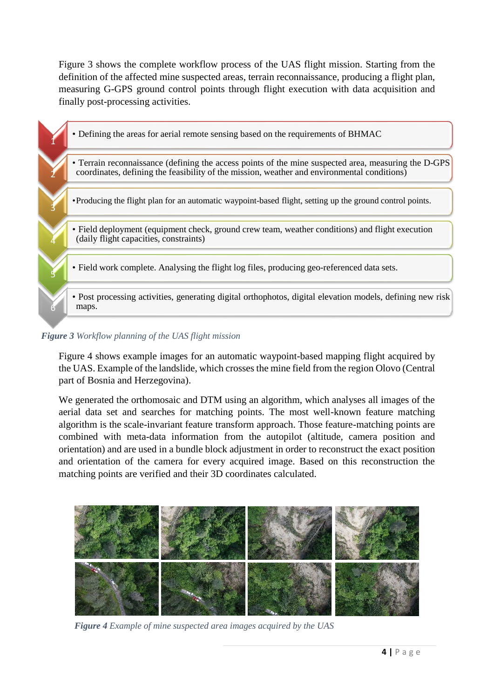Figure 3 shows the complete workflow process of the UAS flight mission. Starting from the definition of the affected mine suspected areas, terrain reconnaissance, producing a flight plan, measuring G-GPS ground control points through flight execution with data acquisition and finally post-processing activities.

1 • Defining the areas for aerial remote sensing based on the requirements of BHMAC 2 • Terrain reconnaissance (defining the access points of the mine suspected area, measuring the D-GPS coordinates, defining the feasibility of the mission, weather and environmental conditions) 3 •Producing the flight plan for an automatic waypoint-based flight, setting up the ground control points. 4 • Field deployment (equipment check, ground crew team, weather conditions) and flight execution (daily flight capacities, constraints) 5 • Field work complete. Analysing the flight log files, producing geo-referenced data sets. 6 • Post processing activities, generating digital orthophotos, digital elevation models, defining new risk maps.

#### *Figure 3 Workflow planning of the UAS flight mission*

Figure 4 shows example images for an automatic waypoint-based mapping flight acquired by the UAS. Example of the landslide, which crosses the mine field from the region Olovo (Central part of Bosnia and Herzegovina).

We generated the orthomosaic and DTM using an algorithm, which analyses all images of the aerial data set and searches for matching points. The most well-known feature matching algorithm is the scale-invariant feature transform approach. Those feature-matching points are combined with meta-data information from the autopilot (altitude, camera position and orientation) and are used in a bundle block adjustment in order to reconstruct the exact position and orientation of the camera for every acquired image. Based on this reconstruction the matching points are verified and their 3D coordinates calculated.



*Figure 4 Example of mine suspected area images acquired by the UAS*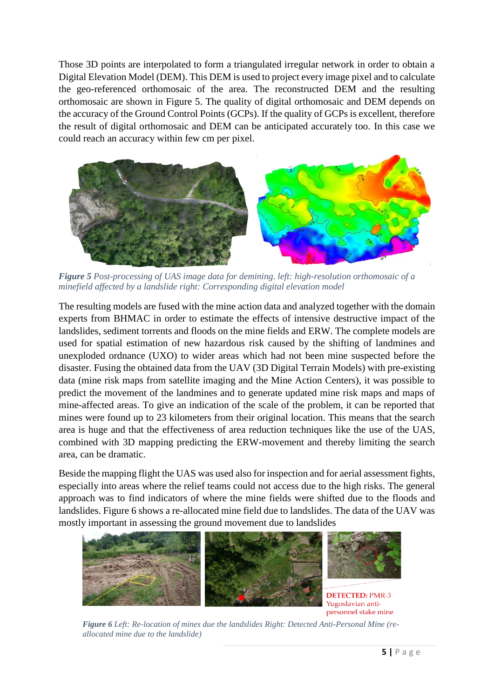Those 3D points are interpolated to form a triangulated irregular network in order to obtain a Digital Elevation Model (DEM). This DEM is used to project every image pixel and to calculate the geo-referenced orthomosaic of the area. The reconstructed DEM and the resulting orthomosaic are shown in Figure 5. The quality of digital orthomosaic and DEM depends on the accuracy of the Ground Control Points (GCPs). If the quality of GCPs is excellent, therefore the result of digital orthomosaic and DEM can be anticipated accurately too. In this case we could reach an accuracy within few cm per pixel.



*Figure 5 Post-processing of UAS image data for demining. left: high-resolution orthomosaic of a minefield affected by a landslide right: Corresponding digital elevation model* 

The resulting models are fused with the mine action data and analyzed together with the domain experts from BHMAC in order to estimate the effects of intensive destructive impact of the landslides, sediment torrents and floods on the mine fields and ERW. The complete models are used for spatial estimation of new hazardous risk caused by the shifting of landmines and unexploded ordnance (UXO) to wider areas which had not been mine suspected before the disaster. Fusing the obtained data from the UAV (3D Digital Terrain Models) with pre-existing data (mine risk maps from satellite imaging and the Mine Action Centers), it was possible to predict the movement of the landmines and to generate updated mine risk maps and maps of mine-affected areas. To give an indication of the scale of the problem, it can be reported that mines were found up to 23 kilometers from their original location. This means that the search area is huge and that the effectiveness of area reduction techniques like the use of the UAS, combined with 3D mapping predicting the ERW-movement and thereby limiting the search area, can be dramatic.

Beside the mapping flight the UAS was used also for inspection and for aerial assessment fights, especially into areas where the relief teams could not access due to the high risks. The general approach was to find indicators of where the mine fields were shifted due to the floods and landslides. Figure 6 shows a re-allocated mine field due to landslides. The data of the UAV was mostly important in assessing the ground movement due to landslides



*Figure 6 Left: Re-location of mines due the landslides Right: Detected Anti-Personal Mine (reallocated mine due to the landslide)*